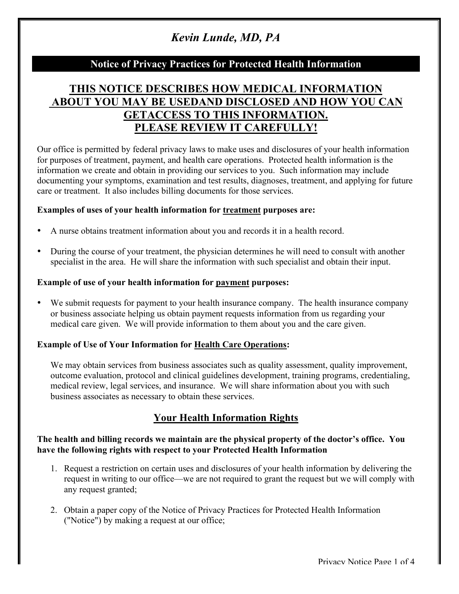# *Kevin Lunde, MD, PA*

## Notice of Privacy Practices for Protected Health Information

# THIS NOTICE DESCRIBES HOW MEDICAL INFORMATION ABOUT YOU MAY BE USEDAND DISCLOSED AND HOW YOU CAN GETACCESS TO THIS INFORMATION. PLEASE REVIEW IT CAREFULLY!

Our office is permitted by federal privacy laws to make uses and disclosures of your health information for purposes of treatment, payment, and health care operations. Protected health information is the information we create and obtain in providing our services to you. Such information may include documenting your symptoms, examination and test results, diagnoses, treatment, and applying for future care or treatment. It also includes billing documents for those services.

#### Examples of uses of your health information for treatment purposes are:

- A nurse obtains treatment information about you and records it in a health record.
- During the course of your treatment, the physician determines he will need to consult with another specialist in the area. He will share the information with such specialist and obtain their input.

#### Example of use of your health information for payment purposes:

• We submit requests for payment to your health insurance company. The health insurance company or business associate helping us obtain payment requests information from us regarding your medical care given. We will provide information to them about you and the care given.

#### Example of Use of Your Information for Health Care Operations:

We may obtain services from business associates such as quality assessment, quality improvement, outcome evaluation, protocol and clinical guidelines development, training programs, credentialing, medical review, legal services, and insurance. We will share information about you with such business associates as necessary to obtain these services.

## Your Health Information Rights

#### The health and billing records we maintain are the physical property of the doctor's office. You have the following rights with respect to your Protected Health Information

- 1. Request a restriction on certain uses and disclosures of your health information by delivering the request in writing to our office—we are not required to grant the request but we will comply with any request granted;
- 2. Obtain a paper copy of the Notice of Privacy Practices for Protected Health Information ("Notice") by making a request at our office;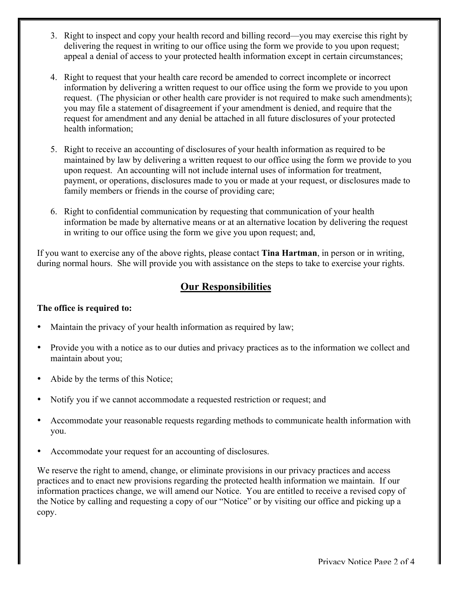- 3. Right to inspect and copy your health record and billing record—you may exercise this right by delivering the request in writing to our office using the form we provide to you upon request; appeal a denial of access to your protected health information except in certain circumstances;
- 4. Right to request that your health care record be amended to correct incomplete or incorrect information by delivering a written request to our office using the form we provide to you upon request. (The physician or other health care provider is not required to make such amendments); you may file a statement of disagreement if your amendment is denied, and require that the request for amendment and any denial be attached in all future disclosures of your protected health information;
- 5. Right to receive an accounting of disclosures of your health information as required to be maintained by law by delivering a written request to our office using the form we provide to you upon request. An accounting will not include internal uses of information for treatment, payment, or operations, disclosures made to you or made at your request, or disclosures made to family members or friends in the course of providing care;
- 6. Right to confidential communication by requesting that communication of your health information be made by alternative means or at an alternative location by delivering the request in writing to our office using the form we give you upon request; and,

If you want to exercise any of the above rights, please contact Tina Hartman, in person or in writing, during normal hours. She will provide you with assistance on the steps to take to exercise your rights.

## Our Responsibilities

### The office is required to:

- Maintain the privacy of your health information as required by law;
- Provide you with a notice as to our duties and privacy practices as to the information we collect and maintain about you;
- Abide by the terms of this Notice;
- Notify you if we cannot accommodate a requested restriction or request; and
- Accommodate your reasonable requests regarding methods to communicate health information with you.
- Accommodate your request for an accounting of disclosures.

We reserve the right to amend, change, or eliminate provisions in our privacy practices and access practices and to enact new provisions regarding the protected health information we maintain. If our information practices change, we will amend our Notice. You are entitled to receive a revised copy of the Notice by calling and requesting a copy of our "Notice" or by visiting our office and picking up a copy.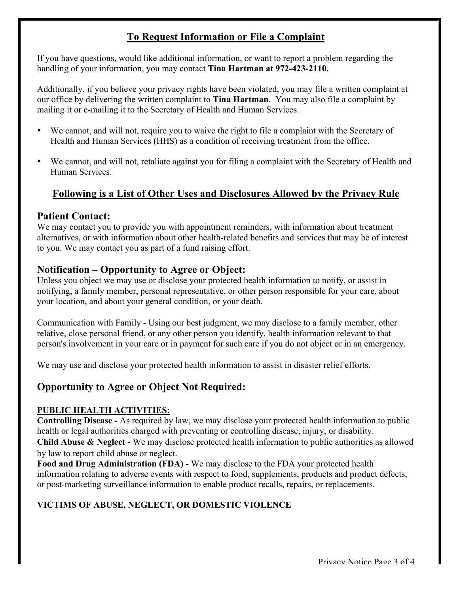## To Request Information or File a Complaint

If you have questions, would like additional information, or want to report a problem regarding the handling of your information, you may contact Tina Hartman at 972-423-2110.

Additionally, if you believe your privacy rights have been violated, you may file a written complaint at our office by delivering the written complaint to Tina Hartman. You may also file a complaint by mailing it or e-mailing it to the Secretary of Health and Human Services.

- We cannot, and will not, require you to waive the right to file a complaint with the Secretary of Health and Human Services (HHS) as a condition of receiving treatment from the office.
- We cannot, and will not, retaliate against you for filing a complaint with the Secretary of Health and Human Services.

## Following is a List of Other Uses and Disclosures Allowed by the Privacy Rule

## Patient Contact:

We may contact you to provide you with appointment reminders, with information about treatment alternatives, or with information about other health-related benefits and services that may be of interest to you. We may contact you as part of a fund raising effort.

## Notification – Opportunity to Agree or Object:

Unless you object we may use or disclose your protected health information to notify, or assist in notifying, a family member, personal representative, or other person responsible for your care, about your location, and about your general condition, or your death.

Communication with Family - Using our best judgment, we may disclose to a family member, other relative, close personal friend, or any other person you identify, health information relevant to that person's involvement in your care or in payment for such care if you do not object or in an emergency.

We may use and disclose your protected health information to assist in disaster relief efforts.

## Opportunity to Agree or Object Not Required:

### PUBLIC HEALTH ACTIVITIES:

Controlling Disease - As required by law, we may disclose your protected health information to public health or legal authorities charged with preventing or controlling disease, injury, or disability. Child Abuse & Neglect - We may disclose protected health information to public authorities as allowed by law to report child abuse or neglect.

Food and Drug Administration (FDA) - We may disclose to the FDA your protected health information relating to adverse events with respect to food, supplements, products and product defects, or post-marketing surveillance information to enable product recalls, repairs, or replacements.

### VICTIMS OF ABUSE, NEGLECT, OR DOMESTIC VIOLENCE